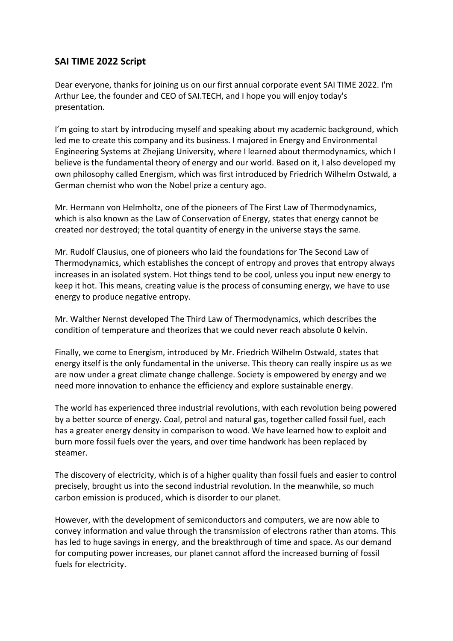# **SAI TIME 2022 Script**

Dear everyone, thanks for joining us on our first annual corporate event SAI TIME 2022. I'm Arthur Lee, the founder and CEO of SAI.TECH, and I hope you will enjoy today's presentation.

I'm going to start by introducing myself and speaking about my academic background, which led me to create this company and its business. I majored in Energy and Environmental Engineering Systems at Zhejiang University, where I learned about thermodynamics, which I believe is the fundamental theory of energy and our world. Based on it, I also developed my own philosophy called Energism, which was first introduced by Friedrich Wilhelm Ostwald, a German chemist who won the Nobel prize a century ago.

Mr. Hermann von Helmholtz, one of the pioneers of The First Law of Thermodynamics, which is also known as the Law of Conservation of Energy, states that energy cannot be created nor destroyed; the total quantity of energy in the universe stays the same.

Mr. Rudolf Clausius, one of pioneers who laid the foundations for The Second Law of Thermodynamics, which establishes the concept of entropy and proves that entropy always increases in an isolated system. Hot things tend to be cool, unless you input new energy to keep it hot. This means, creating value is the process of consuming energy, we have to use energy to produce negative entropy.

Mr. Walther Nernst developed The Third Law of Thermodynamics, which describes the condition of temperature and theorizes that we could never reach absolute 0 kelvin.

Finally, we come to Energism, introduced by Mr. Friedrich Wilhelm Ostwald, states that energy itself is the only fundamental in the universe. This theory can really inspire us as we are now under a great climate change challenge. Society is empowered by energy and we need more innovation to enhance the efficiency and explore sustainable energy.

The world has experienced three industrial revolutions, with each revolution being powered by a better source of energy. Coal, petrol and natural gas, together called fossil fuel, each has a greater energy density in comparison to wood. We have learned how to exploit and burn more fossil fuels over the years, and over time handwork has been replaced by steamer.

The discovery of electricity, which is of a higher quality than fossil fuels and easier to control precisely, brought us into the second industrial revolution. In the meanwhile, so much carbon emission is produced, which is disorder to our planet.

However, with the development of semiconductors and computers, we are now able to convey information and value through the transmission of electrons rather than atoms. This has led to huge savings in energy, and the breakthrough of time and space. As our demand for computing power increases, our planet cannot afford the increased burning of fossil fuels for electricity.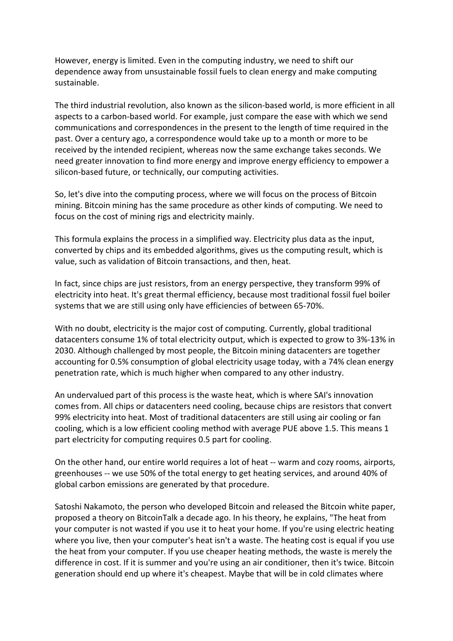However, energy is limited. Even in the computing industry, we need to shift our dependence away from unsustainable fossil fuels to clean energy and make computing sustainable.

The third industrial revolution, also known as the silicon-based world, is more efficient in all aspects to a carbon-based world. For example, just compare the ease with which we send communications and correspondences in the present to the length of time required in the past. Over a century ago, a correspondence would take up to a month or more to be received by the intended recipient, whereas now the same exchange takes seconds. We need greater innovation to find more energy and improve energy efficiency to empower a silicon-based future, or technically, our computing activities.

So, let's dive into the computing process, where we will focus on the process of Bitcoin mining. Bitcoin mining has the same procedure as other kinds of computing. We need to focus on the cost of mining rigs and electricity mainly.

This formula explains the process in a simplified way. Electricity plus data as the input, converted by chips and its embedded algorithms, gives us the computing result, which is value, such as validation of Bitcoin transactions, and then, heat.

In fact, since chips are just resistors, from an energy perspective, they transform 99% of electricity into heat. It's great thermal efficiency, because most traditional fossil fuel boiler systems that we are still using only have efficiencies of between 65-70%.

With no doubt, electricity is the major cost of computing. Currently, global traditional datacenters consume 1% of total electricity output, which is expected to grow to 3%-13% in 2030. Although challenged by most people, the Bitcoin mining datacenters are together accounting for 0.5% consumption of global electricity usage today, with a 74% clean energy penetration rate, which is much higher when compared to any other industry.

An undervalued part of this process is the waste heat, which is where SAI's innovation comes from. All chips or datacenters need cooling, because chips are resistors that convert 99% electricity into heat. Most of traditional datacenters are still using air cooling or fan cooling, which is a low efficient cooling method with average PUE above 1.5. This means 1 part electricity for computing requires 0.5 part for cooling.

On the other hand, our entire world requires a lot of heat -- warm and cozy rooms, airports, greenhouses -- we use 50% of the total energy to get heating services, and around 40% of global carbon emissions are generated by that procedure.

Satoshi Nakamoto, the person who developed Bitcoin and released the Bitcoin white paper, proposed a theory on BitcoinTalk a decade ago. In his theory, he explains, "The heat from your computer is not wasted if you use it to heat your home. If you're using electric heating where you live, then your computer's heat isn't a waste. The heating cost is equal if you use the heat from your computer. If you use cheaper heating methods, the waste is merely the difference in cost. If it is summer and you're using an air conditioner, then it's twice. Bitcoin generation should end up where it's cheapest. Maybe that will be in cold climates where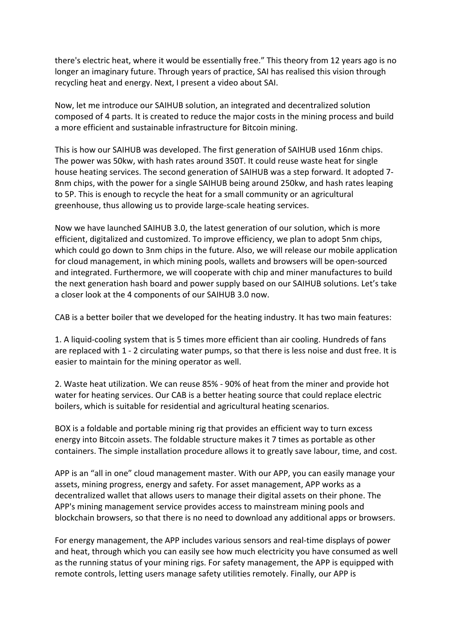there's electric heat, where it would be essentially free." This theory from 12 years ago is no longer an imaginary future. Through years of practice, SAI has realised this vision through recycling heat and energy. Next, I present a video about SAI.

Now, let me introduce our SAIHUB solution, an integrated and decentralized solution composed of 4 parts. It is created to reduce the major costs in the mining process and build a more efficient and sustainable infrastructure for Bitcoin mining.

This is how our SAIHUB was developed. The first generation of SAIHUB used 16nm chips. The power was 50kw, with hash rates around 350T. It could reuse waste heat for single house heating services. The second generation of SAIHUB was a step forward. It adopted 7- 8nm chips, with the power for a single SAIHUB being around 250kw, and hash rates leaping to 5P. This is enough to recycle the heat for a small community or an agricultural greenhouse, thus allowing us to provide large-scale heating services.

Now we have launched SAIHUB 3.0, the latest generation of our solution, which is more efficient, digitalized and customized. To improve efficiency, we plan to adopt 5nm chips, which could go down to 3nm chips in the future. Also, we will release our mobile application for cloud management, in which mining pools, wallets and browsers will be open-sourced and integrated. Furthermore, we will cooperate with chip and miner manufactures to build the next generation hash board and power supply based on our SAIHUB solutions. Let's take a closer look at the 4 components of our SAIHUB 3.0 now.

CAB is a better boiler that we developed for the heating industry. It has two main features:

1. A liquid-cooling system that is 5 times more efficient than air cooling. Hundreds of fans are replaced with 1 - 2 circulating water pumps, so that there is less noise and dust free. It is easier to maintain for the mining operator as well.

2. Waste heat utilization. We can reuse 85% - 90% of heat from the miner and provide hot water for heating services. Our CAB is a better heating source that could replace electric boilers, which is suitable for residential and agricultural heating scenarios.

BOX is a foldable and portable mining rig that provides an efficient way to turn excess energy into Bitcoin assets. The foldable structure makes it 7 times as portable as other containers. The simple installation procedure allows it to greatly save labour, time, and cost.

APP is an "all in one" cloud management master. With our APP, you can easily manage your assets, mining progress, energy and safety. For asset management, APP works as a decentralized wallet that allows users to manage their digital assets on their phone. The APP's mining management service provides access to mainstream mining pools and blockchain browsers, so that there is no need to download any additional apps or browsers.

For energy management, the APP includes various sensors and real-time displays of power and heat, through which you can easily see how much electricity you have consumed as well as the running status of your mining rigs. For safety management, the APP is equipped with remote controls, letting users manage safety utilities remotely. Finally, our APP is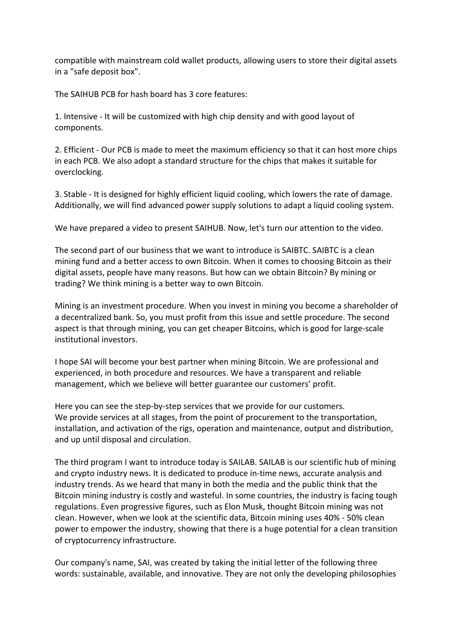compatible with mainstream cold wallet products, allowing users to store their digital assets in a "safe deposit box".

The SAIHUB PCB for hash board has 3 core features:

1. Intensive - It will be customized with high chip density and with good layout of components.

2. Efficient - Our PCB is made to meet the maximum efficiency so that it can host more chips in each PCB. We also adopt a standard structure for the chips that makes it suitable for overclocking.

3. Stable - It is designed for highly efficient liquid cooling, which lowers the rate of damage. Additionally, we will find advanced power supply solutions to adapt a liquid cooling system.

We have prepared a video to present SAIHUB. Now, let's turn our attention to the video.

The second part of our business that we want to introduce is SAIBTC. SAIBTC is a clean mining fund and a better access to own Bitcoin. When it comes to choosing Bitcoin as their digital assets, people have many reasons. But how can we obtain Bitcoin? By mining or trading? We think mining is a better way to own Bitcoin.

Mining is an investment procedure. When you invest in mining you become a shareholder of a decentralized bank. So, you must profit from this issue and settle procedure. The second aspect is that through mining, you can get cheaper Bitcoins, which is good for large-scale institutional investors.

I hope SAI will become your best partner when mining Bitcoin. We are professional and experienced, in both procedure and resources. We have a transparent and reliable management, which we believe will better guarantee our customers' profit.

Here you can see the step-by-step services that we provide for our customers. We provide services at all stages, from the point of procurement to the transportation, installation, and activation of the rigs, operation and maintenance, output and distribution, and up until disposal and circulation.

The third program I want to introduce today is SAILAB. SAILAB is our scientific hub of mining and crypto industry news. It is dedicated to produce in-time news, accurate analysis and industry trends. As we heard that many in both the media and the public think that the Bitcoin mining industry is costly and wasteful. In some countries, the industry is facing tough regulations. Even progressive figures, such as Elon Musk, thought Bitcoin mining was not clean. However, when we look at the scientific data, Bitcoin mining uses 40% - 50% clean power to empower the industry, showing that there is a huge potential for a clean transition of cryptocurrency infrastructure.

Our company's name, SAI, was created by taking the initial letter of the following three words: sustainable, available, and innovative. They are not only the developing philosophies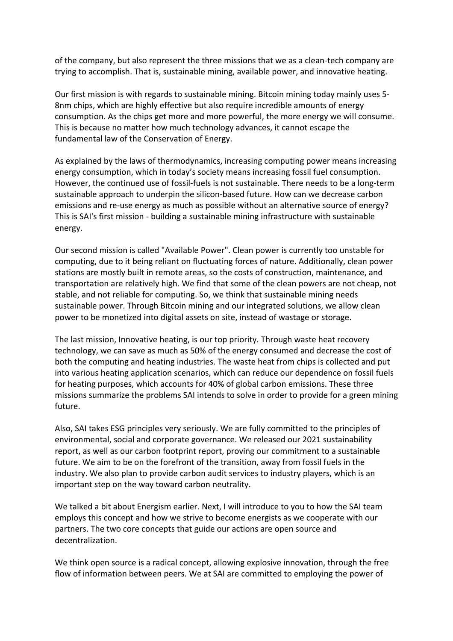of the company, but also represent the three missions that we as a clean-tech company are trying to accomplish. That is, sustainable mining, available power, and innovative heating.

Our first mission is with regards to sustainable mining. Bitcoin mining today mainly uses 5- 8nm chips, which are highly effective but also require incredible amounts of energy consumption. As the chips get more and more powerful, the more energy we will consume. This is because no matter how much technology advances, it cannot escape the fundamental law of the Conservation of Energy.

As explained by the laws of thermodynamics, increasing computing power means increasing energy consumption, which in today's society means increasing fossil fuel consumption. However, the continued use of fossil-fuels is not sustainable. There needs to be a long-term sustainable approach to underpin the silicon-based future. How can we decrease carbon emissions and re-use energy as much as possible without an alternative source of energy? This is SAI's first mission - building a sustainable mining infrastructure with sustainable energy.

Our second mission is called "Available Power". Clean power is currently too unstable for computing, due to it being reliant on fluctuating forces of nature. Additionally, clean power stations are mostly built in remote areas, so the costs of construction, maintenance, and transportation are relatively high. We find that some of the clean powers are not cheap, not stable, and not reliable for computing. So, we think that sustainable mining needs sustainable power. Through Bitcoin mining and our integrated solutions, we allow clean power to be monetized into digital assets on site, instead of wastage or storage.

The last mission, Innovative heating, is our top priority. Through waste heat recovery technology, we can save as much as 50% of the energy consumed and decrease the cost of both the computing and heating industries. The waste heat from chips is collected and put into various heating application scenarios, which can reduce our dependence on fossil fuels for heating purposes, which accounts for 40% of global carbon emissions. These three missions summarize the problems SAI intends to solve in order to provide for a green mining future.

Also, SAI takes ESG principles very seriously. We are fully committed to the principles of environmental, social and corporate governance. We released our 2021 sustainability report, as well as our carbon footprint report, proving our commitment to a sustainable future. We aim to be on the forefront of the transition, away from fossil fuels in the industry. We also plan to provide carbon audit services to industry players, which is an important step on the way toward carbon neutrality.

We talked a bit about Energism earlier. Next, I will introduce to you to how the SAI team employs this concept and how we strive to become energists as we cooperate with our partners. The two core concepts that guide our actions are open source and decentralization.

We think open source is a radical concept, allowing explosive innovation, through the free flow of information between peers. We at SAI are committed to employing the power of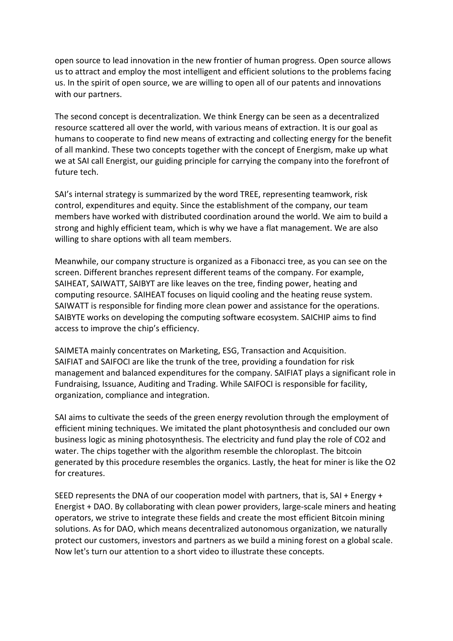open source to lead innovation in the new frontier of human progress. Open source allows us to attract and employ the most intelligent and efficient solutions to the problems facing us. In the spirit of open source, we are willing to open all of our patents and innovations with our partners.

The second concept is decentralization. We think Energy can be seen as a decentralized resource scattered all over the world, with various means of extraction. It is our goal as humans to cooperate to find new means of extracting and collecting energy for the benefit of all mankind. These two concepts together with the concept of Energism, make up what we at SAI call Energist, our guiding principle for carrying the company into the forefront of future tech.

SAI's internal strategy is summarized by the word TREE, representing teamwork, risk control, expenditures and equity. Since the establishment of the company, our team members have worked with distributed coordination around the world. We aim to build a strong and highly efficient team, which is why we have a flat management. We are also willing to share options with all team members.

Meanwhile, our company structure is organized as a Fibonacci tree, as you can see on the screen. Different branches represent different teams of the company. For example, SAIHEAT, SAIWATT, SAIBYT are like leaves on the tree, finding power, heating and computing resource. SAIHEAT focuses on liquid cooling and the heating reuse system. SAIWATT is responsible for finding more clean power and assistance for the operations. SAIBYTE works on developing the computing software ecosystem. SAICHIP aims to find access to improve the chip's efficiency.

SAIMETA mainly concentrates on Marketing, ESG, Transaction and Acquisition. SAIFIAT and SAIFOCI are like the trunk of the tree, providing a foundation for risk management and balanced expenditures for the company. SAIFIAT plays a significant role in Fundraising, Issuance, Auditing and Trading. While SAIFOCI is responsible for facility, organization, compliance and integration.

SAI aims to cultivate the seeds of the green energy revolution through the employment of efficient mining techniques. We imitated the plant photosynthesis and concluded our own business logic as mining photosynthesis. The electricity and fund play the role of CO2 and water. The chips together with the algorithm resemble the chloroplast. The bitcoin generated by this procedure resembles the organics. Lastly, the heat for miner is like the O2 for creatures.

SEED represents the DNA of our cooperation model with partners, that is, SAI + Energy + Energist + DAO. By collaborating with clean power providers, large-scale miners and heating operators, we strive to integrate these fields and create the most efficient Bitcoin mining solutions. As for DAO, which means decentralized autonomous organization, we naturally protect our customers, investors and partners as we build a mining forest on a global scale. Now let's turn our attention to a short video to illustrate these concepts.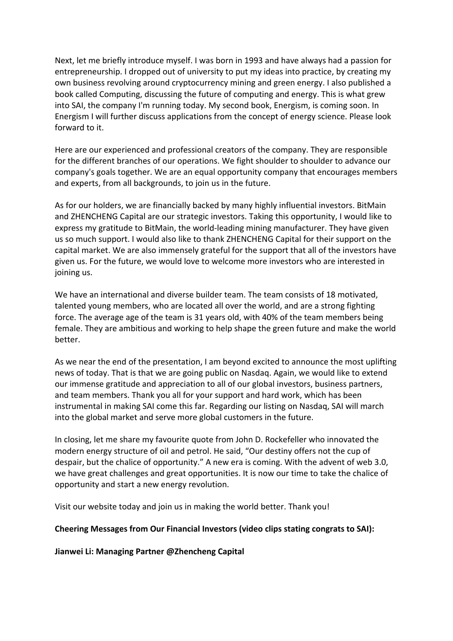Next, let me briefly introduce myself. I was born in 1993 and have always had a passion for entrepreneurship. I dropped out of university to put my ideas into practice, by creating my own business revolving around cryptocurrency mining and green energy. I also published a book called Computing, discussing the future of computing and energy. This is what grew into SAI, the company I'm running today. My second book, Energism, is coming soon. In Energism I will further discuss applications from the concept of energy science. Please look forward to it.

Here are our experienced and professional creators of the company. They are responsible for the different branches of our operations. We fight shoulder to shoulder to advance our company's goals together. We are an equal opportunity company that encourages members and experts, from all backgrounds, to join us in the future.

As for our holders, we are financially backed by many highly influential investors. BitMain and ZHENCHENG Capital are our strategic investors. Taking this opportunity, I would like to express my gratitude to BitMain, the world-leading mining manufacturer. They have given us so much support. I would also like to thank ZHENCHENG Capital for their support on the capital market. We are also immensely grateful for the support that all of the investors have given us. For the future, we would love to welcome more investors who are interested in joining us.

We have an international and diverse builder team. The team consists of 18 motivated, talented young members, who are located all over the world, and are a strong fighting force. The average age of the team is 31 years old, with 40% of the team members being female. They are ambitious and working to help shape the green future and make the world better.

As we near the end of the presentation, I am beyond excited to announce the most uplifting news of today. That is that we are going public on Nasdaq. Again, we would like to extend our immense gratitude and appreciation to all of our global investors, business partners, and team members. Thank you all for your support and hard work, which has been instrumental in making SAI come this far. Regarding our listing on Nasdaq, SAI will march into the global market and serve more global customers in the future.

In closing, let me share my favourite quote from John D. Rockefeller who innovated the modern energy structure of oil and petrol. He said, "Our destiny offers not the cup of despair, but the chalice of opportunity." A new era is coming. With the advent of web 3.0, we have great challenges and great opportunities. It is now our time to take the chalice of opportunity and start a new energy revolution.

Visit our website today and join us in making the world better. Thank you!

#### **Cheering Messages from Our Financial Investors (video clips stating congrats to SAI):**

**Jianwei Li: Managing Partner @Zhencheng Capital**